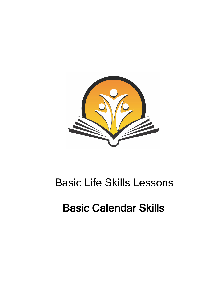

## Basic Life Skills Lessons

# Basic Calendar Skills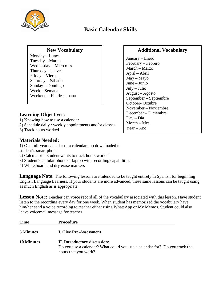

### **Basic Calendar Skills**

#### **New Vocabulary**

Monday – Lunes Tuesday – Martes Wednesday – Miércoles Thursday – Jueves Friday – Viernes Saturday – Sábado Sunday – Domingo Week – Semana Weekend – Fin de semana

#### **Learning Objectives:**

1) Knowing how to use a calendar

- 2) Schedule daily / weekly appointments and/or classes
- 3) Track hours worked

#### **Materials Needed:**

1) One full-year calendar or a calendar app downloaded to student's smart phone

- 2) Calculator if student wants to track hours worked
- 3) Student's cellular phone or laptop with recording capabilities
- 4) White board and dry erase markers

**Language Note:** The following lessons are intended to be taught entirely in Spanish for beginning English Language Learners. If your students are more advanced, these same lessons can be taught using as much English as is appropriate.

**Lesson Note:** Teacher can voice record all of the vocabulary associated with this lesson. Have student listen to the recording every day for one week. When student has memorized the vocabulary have him/her send a voice recording to teacher either using WhatsApp or My Memos. Student could also leave voicemail message for teacher.

| <b>Time</b>       | <b>Procedure</b>                                                                                                                   |
|-------------------|------------------------------------------------------------------------------------------------------------------------------------|
| 5 Minutes         | <b>I. Give Pre-Assessment</b>                                                                                                      |
| <b>10 Minutes</b> | II. Introductory discussion:<br>Do you use a calendar? What could you use a calendar for? Do you track the<br>hours that you work? |

#### **Additional Vocabulary**

January – Enero February – Febrero March – Marzo April – Abril May – Mayo June – Junio July – Julio August – Agosto September – Septiembre October- Octubre November – Noviembre December – Diciembre Day – Día Month – Mes Year – Año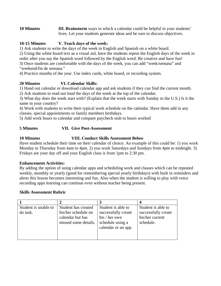**10 Minutes III. Brainstorm** ways in which a calendar could be helpful in your students' lives. Let your students generate ideas and be sure to discuss objectives.

#### **10-15 Minutes V. Teach days of the week:**

1) Ask students to write the days of the week in English and Spanish on a white board.

2) Using the white board text as a visual aid, have the students repeat the English days of the week in

order after you say the Spanish word followed by the English word. Be creative and have fun!

3) Once students are comfortable with the days of the week, you can add "week/semana" and "weekend/fin de semana."

4) Practice months of the year. Use index cards, white board, or recording system.

#### **20 Minutes VI. Calendar Skills:**

1) Hand out calendar or download calendar app and ask students if they can find the current month. 2) Ask students to read out loud the days of the week at the top of the calendar.

3) What day does the week start with? (Explain that the week starts with Sunday in the U.S.) Is it the same in your country?

4) Work with students to write their typical work schedule on the calendar. Have them add in any classes, special appointments or family members birthdays.

5) Add work hours to calendar and compare paycheck stub to hours worked

#### **5 Minutes VII. Give Post-Assessment**

#### **10 Minutes VIII. Conduct Skills Assessment Below**

Have student schedule their time on their calendar of choice. An example of this could be: 1) you work Monday to Thursday from 4am to 4pm. 2) you work Saturdays and Sundays from 4pm to midnight. 3) Fridays are your day off and your English class is from 1pm to 2:30 pm.

#### **Enhancement Activities:**

By adding the option of using calendar apps and scheduling work and classes which can be repeated weekly, monthly or yearly (good for remembering special yearly birthdays) with built in reminders and alerts this lesson becomes interesting and fun. Also when the student is willing to play with voice recording apps learning can continue even without teacher being present.

#### **Skills Assessment Rubric**

| Student is unable to | Student has created  | Student is able to  | Student is able to  |
|----------------------|----------------------|---------------------|---------------------|
| do task.             | his/her schedule on  | successfully create | successfully create |
|                      | calendar but has     | his / her own       | his/her current     |
|                      | missed some details. | schedule using a    | schedule.           |
|                      |                      | calendar or an app. |                     |
|                      |                      |                     |                     |
|                      |                      |                     |                     |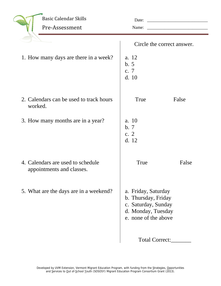|         | <b>Basic Calendar Skills</b>                                   | Date:                                                                                                           |       |
|---------|----------------------------------------------------------------|-----------------------------------------------------------------------------------------------------------------|-------|
|         | Pre-Assessment                                                 | Name:                                                                                                           |       |
|         |                                                                | Circle the correct answer.                                                                                      |       |
|         | 1. How many days are there in a week?                          | a. 12<br>b.5<br>c. 7<br>d. 10                                                                                   |       |
| worked. | 2. Calendars can be used to track hours                        | <b>True</b>                                                                                                     | False |
|         | 3. How many months are in a year?                              | a. 10<br>b.7<br>c. $2$<br>d. 12                                                                                 |       |
|         | 4. Calendars are used to schedule<br>appointments and classes. | True                                                                                                            | False |
|         | 5. What are the days are in a weekend?                         | a. Friday, Saturday<br>b. Thursday, Friday<br>c. Saturday, Sunday<br>d. Monday, Tuesday<br>e. none of the above |       |
|         |                                                                | Total Correct:                                                                                                  |       |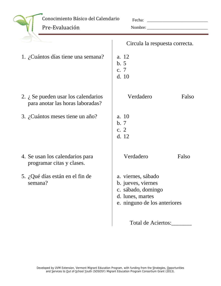| Conocimiento Básico del Calendario<br>Pre-Evaluación                            | Fecha:<br>Nombre:                                                                                                  |       |
|---------------------------------------------------------------------------------|--------------------------------------------------------------------------------------------------------------------|-------|
|                                                                                 | Circula la respuesta correcta.                                                                                     |       |
| 1. ¿Cuántos días tiene una semana?                                              | a. 12<br>b.5<br>c. 7<br>d. 10                                                                                      |       |
| 2. $\lambda$ Se pueden usar los calendarios<br>para anotar las horas laboradas? | Verdadero                                                                                                          | Falso |
| 3. ¿Cuántos meses tiene un año?                                                 | a. 10<br>b.7<br>c. $2$<br>d. 12                                                                                    |       |
| 4. Se usan los calendarios para<br>programar citas y clases.                    | Verdadero                                                                                                          | Falso |
| 5. ¿Qué días están en el fin de<br>semana?                                      | a. viernes, sábado<br>b. jueves, viernes<br>c. sábado, domingo<br>d. lunes, martes<br>e. ninguno de los anteriores |       |
|                                                                                 | Total de Aciertos:                                                                                                 |       |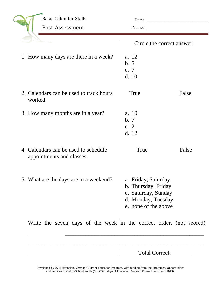| <b>Basic Calendar Skills</b>                                        |                                                                                                                 |       |
|---------------------------------------------------------------------|-----------------------------------------------------------------------------------------------------------------|-------|
| Post-Assessment                                                     | Name:                                                                                                           |       |
|                                                                     | Circle the correct answer.                                                                                      |       |
| 1. How many days are there in a week?                               | a. 12<br>b.5<br>c. 7<br>d. 10                                                                                   |       |
| 2. Calendars can be used to track hours<br>worked.                  | True                                                                                                            | False |
| 3. How many months are in a year?                                   | a. 10<br>b.7<br>c. $2$<br>d. 12                                                                                 |       |
| 4. Calendars can be used to schedule<br>appointments and classes.   | True                                                                                                            | False |
| 5. What are the days are in a weekend?                              | a. Friday, Saturday<br>b. Thursday, Friday<br>c. Saturday, Sunday<br>d. Monday, Tuesday<br>e. none of the above |       |
| Write the seven days of the week in the correct order. (not scored) |                                                                                                                 |       |

Total Correct:\_\_\_\_\_\_\_\_

Developed by UVM Extension, Vermont Migrant Education Program, with funding from the Strategies, Opportunities and Services to Out of-School Youth (SOSOSY) Migrant Education Program Consortium Grant (2013).

\_\_\_\_\_\_\_\_\_\_\_\_\_\_\_\_\_\_\_\_\_\_\_\_\_\_\_\_\_\_\_\_\_\_\_\_\_\_\_\_\_\_\_\_\_\_\_\_\_\_\_\_\_\_\_\_\_\_\_\_\_